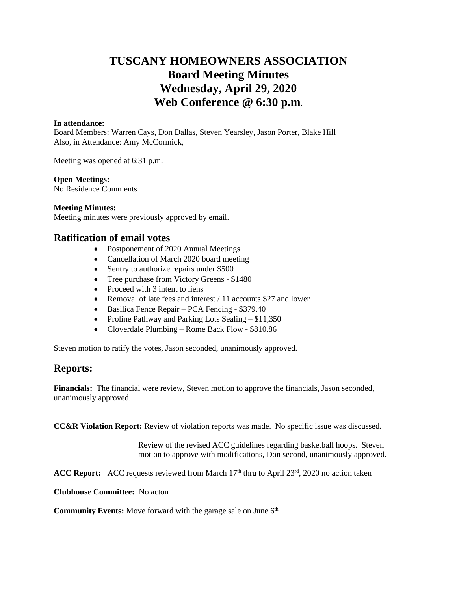# **TUSCANY HOMEOWNERS ASSOCIATION Board Meeting Minutes Wednesday, April 29, 2020 Web Conference @ 6:30 p.m.**

#### **In attendance:**

Board Members: Warren Cays, Don Dallas, Steven Yearsley, Jason Porter, Blake Hill Also, in Attendance: Amy McCormick,

Meeting was opened at 6:31 p.m.

#### **Open Meetings:**

No Residence Comments

#### **Meeting Minutes:**

Meeting minutes were previously approved by email.

## **Ratification of email votes**

- Postponement of 2020 Annual Meetings
- Cancellation of March 2020 board meeting
- Sentry to authorize repairs under \$500
- Tree purchase from Victory Greens \$1480
- Proceed with 3 intent to liens
- Removal of late fees and interest / 11 accounts \$27 and lower
- Basilica Fence Repair PCA Fencing \$379.40
- Proline Pathway and Parking Lots Sealing \$11,350
- Cloverdale Plumbing Rome Back Flow \$810.86

Steven motion to ratify the votes, Jason seconded, unanimously approved.

# **Reports:**

**Financials:** The financial were review, Steven motion to approve the financials, Jason seconded, unanimously approved.

**CC&R Violation Report:** Review of violation reports was made. No specific issue was discussed.

Review of the revised ACC guidelines regarding basketball hoops. Steven motion to approve with modifications, Don second, unanimously approved.

ACC Report: ACC requests reviewed from March 17<sup>th</sup> thru to April 23<sup>rd</sup>, 2020 no action taken

**Clubhouse Committee:** No acton

**Community Events:** Move forward with the garage sale on June 6<sup>th</sup>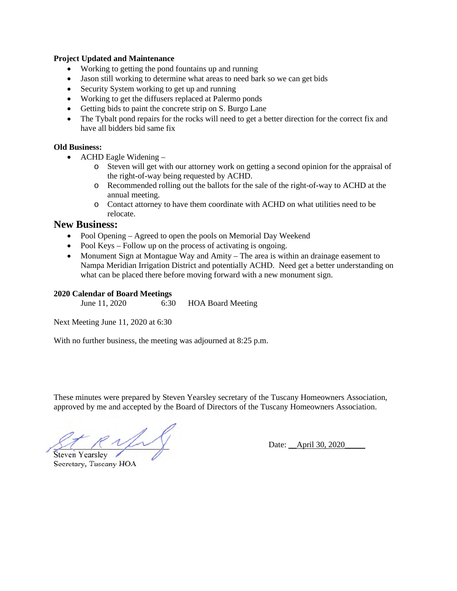#### **Project Updated and Maintenance**

- Working to getting the pond fountains up and running
- Jason still working to determine what areas to need bark so we can get bids
- Security System working to get up and running
- Working to get the diffusers replaced at Palermo ponds
- Getting bids to paint the concrete strip on S. Burgo Lane
- The Tybalt pond repairs for the rocks will need to get a better direction for the correct fix and have all bidders bid same fix

## **Old Business:**

- ACHD Eagle Widening
	- o Steven will get with our attorney work on getting a second opinion for the appraisal of the right-of-way being requested by ACHD.
	- o Recommended rolling out the ballots for the sale of the right-of-way to ACHD at the annual meeting.
	- o Contact attorney to have them coordinate with ACHD on what utilities need to be relocate.

## **New Business:**

- Pool Opening Agreed to open the pools on Memorial Day Weekend
- Pool Keys Follow up on the process of activating is ongoing.
- Monument Sign at Montague Way and Amity The area is within an drainage easement to Nampa Meridian Irrigation District and potentially ACHD. Need get a better understanding on what can be placed there before moving forward with a new monument sign.

### **2020 Calendar of Board Meetings**

June 11, 2020 6:30 HOA Board Meeting

Next Meeting June 11, 2020 at 6:30

With no further business, the meeting was adjourned at 8:25 p.m.

These minutes were prepared by Steven Yearsley secretary of the Tuscany Homeowners Association, approved by me and accepted by the Board of Directors of the Tuscany Homeowners Association.

Steven Yearsley

Secretary, Tuscany HOA

Date: \_\_April 30, 2020\_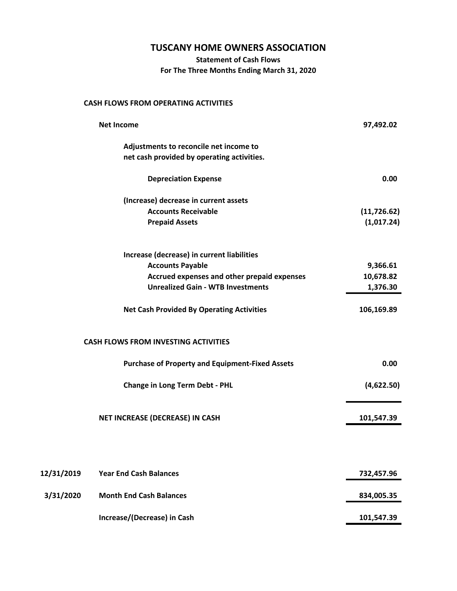# **TUSCANY HOME OWNERS ASSOCIATION**

**Statement of Cash Flows**

**For The Three Months Ending March 31, 2020**

## **CASH FLOWS FROM OPERATING ACTIVITIES**

| <b>Net Income</b> |                                                        | 97,492.02    |  |
|-------------------|--------------------------------------------------------|--------------|--|
|                   | Adjustments to reconcile net income to                 |              |  |
|                   | net cash provided by operating activities.             |              |  |
|                   | <b>Depreciation Expense</b>                            | 0.00         |  |
|                   | (Increase) decrease in current assets                  |              |  |
|                   | <b>Accounts Receivable</b>                             | (11, 726.62) |  |
|                   | <b>Prepaid Assets</b>                                  | (1,017.24)   |  |
|                   | Increase (decrease) in current liabilities             |              |  |
|                   | <b>Accounts Payable</b>                                | 9,366.61     |  |
|                   | Accrued expenses and other prepaid expenses            | 10,678.82    |  |
|                   | <b>Unrealized Gain - WTB Investments</b>               | 1,376.30     |  |
|                   | <b>Net Cash Provided By Operating Activities</b>       | 106,169.89   |  |
|                   | <b>CASH FLOWS FROM INVESTING ACTIVITIES</b>            |              |  |
|                   | <b>Purchase of Property and Equipment-Fixed Assets</b> | 0.00         |  |
|                   | <b>Change in Long Term Debt - PHL</b>                  | (4,622.50)   |  |
|                   | NET INCREASE (DECREASE) IN CASH                        | 101,547.39   |  |
|                   |                                                        |              |  |
| 12/31/2019        | <b>Year End Cash Balances</b>                          | 732,457.96   |  |
| 3/31/2020         | <b>Month End Cash Balances</b>                         | 834,005.35   |  |
|                   | Increase/(Decrease) in Cash                            | 101,547.39   |  |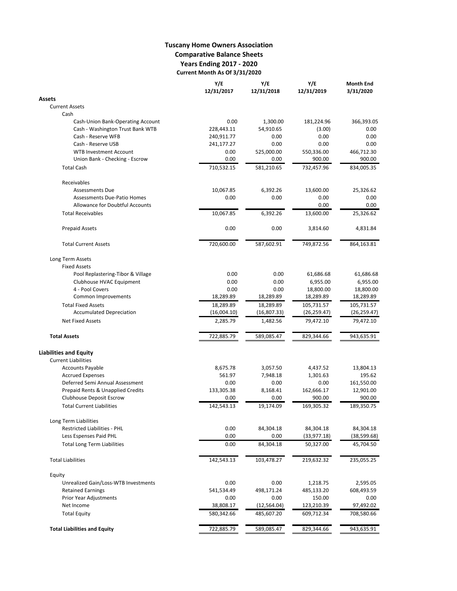## **Tuscany Home Owners Association Comparative Balance Sheets Years Ending 2017 - 2020 Current Month As Of 3/31/2020**

|                                         | Y/E<br>12/31/2017 | Y/E<br>12/31/2018 | Y/E<br>12/31/2019 | <b>Month End</b><br>3/31/2020 |
|-----------------------------------------|-------------------|-------------------|-------------------|-------------------------------|
| Assets                                  |                   |                   |                   |                               |
| <b>Current Assets</b>                   |                   |                   |                   |                               |
| Cash                                    |                   |                   |                   |                               |
| Cash-Union Bank-Operating Account       | 0.00              | 1,300.00          | 181,224.96        | 366,393.05                    |
| Cash - Washington Trust Bank WTB        | 228,443.11        | 54,910.65         | (3.00)            | 0.00                          |
| Cash - Reserve WFB                      | 240,911.77        | 0.00              | 0.00              | 0.00                          |
| Cash - Reserve USB                      | 241,177.27        | 0.00              | 0.00              | 0.00                          |
| <b>WTB Investment Account</b>           | 0.00              | 525,000.00        | 550,336.00        | 466,712.30                    |
| Union Bank - Checking - Escrow          | 0.00              | 0.00              | 900.00            | 900.00                        |
| <b>Total Cash</b>                       | 710,532.15        | 581,210.65        | 732,457.96        | 834,005.35                    |
| Receivables                             |                   |                   |                   |                               |
| <b>Assessments Due</b>                  | 10,067.85         | 6,392.26          | 13,600.00         | 25,326.62                     |
| <b>Assessments Due-Patio Homes</b>      | 0.00              | 0.00              | 0.00              | 0.00                          |
| <b>Allowance for Doubtful Accounts</b>  |                   |                   | 0.00              | 0.00                          |
| <b>Total Receivables</b>                | 10,067.85         | 6,392.26          | 13,600.00         | 25,326.62                     |
| <b>Prepaid Assets</b>                   | 0.00              | 0.00              | 3,814.60          | 4,831.84                      |
| <b>Total Current Assets</b>             | 720,600.00        | 587,602.91        | 749,872.56        | 864,163.81                    |
|                                         |                   |                   |                   |                               |
| Long Term Assets<br><b>Fixed Assets</b> |                   |                   |                   |                               |
| Pool Replastering-Tibor & Village       | 0.00              | 0.00              | 61,686.68         | 61,686.68                     |
| Clubhouse HVAC Equipment                | 0.00              | 0.00              | 6,955.00          | 6,955.00                      |
| 4 - Pool Covers                         | 0.00              | 0.00              | 18,800.00         | 18,800.00                     |
| Common Improvements                     | 18,289.89         | 18,289.89         | 18,289.89         | 18,289.89                     |
| <b>Total Fixed Assets</b>               | 18,289.89         | 18,289.89         | 105,731.57        | 105,731.57                    |
| <b>Accumulated Depreciation</b>         | (16,004.10)       | (16,807.33)       | (26, 259.47)      | (26, 259.47)                  |
| <b>Net Fixed Assets</b>                 | 2,285.79          | 1,482.56          | 79,472.10         | 79,472.10                     |
| <b>Total Assets</b>                     | 722,885.79        | 589,085.47        | 829,344.66        | 943,635.91                    |
| Liabilities and Equity                  |                   |                   |                   |                               |
| <b>Current Liabilities</b>              |                   |                   |                   |                               |
| <b>Accounts Payable</b>                 | 8,675.78          | 3,057.50          | 4,437.52          | 13,804.13                     |
| <b>Accrued Expenses</b>                 | 561.97            | 7,948.18          | 1,301.63          | 195.62                        |
| Deferred Semi Annual Assessment         | 0.00              | 0.00              | 0.00              | 161,550.00                    |
| Prepaid Rents & Unapplied Credits       | 133,305.38        | 8,168.41          | 162,666.17        | 12,901.00                     |
| <b>Clubhouse Deposit Escrow</b>         | 0.00              | 0.00              | 900.00            | 900.00                        |
| <b>Total Current Liabilities</b>        | 142,543.13        | 19,174.09         | 169,305.32        | 189,350.75                    |
| Long Term Liabilities                   |                   |                   |                   |                               |
| <b>Restricted Liabilities - PHL</b>     |                   |                   |                   |                               |
|                                         | 0.00<br>0.00      | 84,304.18<br>0.00 | 84,304.18         | 84,304.18                     |
| Less Espenses Paid PHL                  |                   |                   | (33,977.18)       | (38, 599.68)                  |
| <b>Total Long Term Liabilities</b>      | 0.00              | 84,304.18         | 50,327.00         | 45,704.50                     |
| <b>Total Liabilities</b>                | 142,543.13        | 103,478.27        | 219,632.32        | 235,055.25                    |
| Equity                                  |                   |                   |                   |                               |
| Unrealized Gain/Loss-WTB Investments    | 0.00              | 0.00              | 1,218.75          | 2,595.05                      |
| <b>Retained Earnings</b>                | 541,534.49        | 498,171.24        | 485,133.20        | 608,493.59                    |
| Prior Year Adjustments                  | 0.00              | 0.00              | 150.00            | 0.00                          |
| Net Income                              | 38,808.17         | (12, 564.04)      | 123,210.39        | 97,492.02                     |
| <b>Total Equity</b>                     | 580,342.66        | 485,607.20        | 609,712.34        | 708,580.66                    |
| <b>Total Liabilities and Equity</b>     | 722,885.79        | 589,085.47        | 829,344.66        | 943,635.91                    |
|                                         |                   |                   |                   |                               |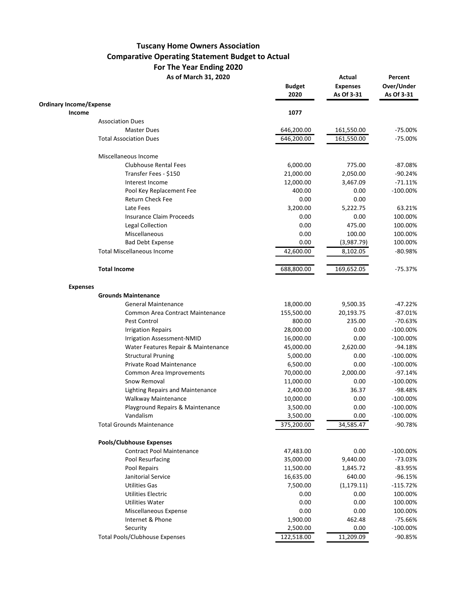# **Tuscany Home Owners Association Comparative Operating Statement Budget to Actual For The Year Ending 2020**

As of March 31, 2020 **Actual Percent** 

|                                         | <b>Budget</b><br>2020 | <b>Expenses</b><br>As Of 3-31 | Over/Under<br>As Of 3-31 |
|-----------------------------------------|-----------------------|-------------------------------|--------------------------|
| <b>Ordinary Income/Expense</b>          |                       |                               |                          |
| Income                                  | 1077                  |                               |                          |
| <b>Association Dues</b>                 |                       |                               |                          |
| <b>Master Dues</b>                      | 646,200.00            | 161,550.00                    | $-75.00%$                |
| <b>Total Association Dues</b>           | 646,200.00            | 161,550.00                    | $-75.00%$                |
| Miscellaneous Income                    |                       |                               |                          |
| <b>Clubhouse Rental Fees</b>            | 6,000.00              | 775.00                        | $-87.08%$                |
| Transfer Fees - \$150                   | 21,000.00             | 2,050.00                      | $-90.24%$                |
| Interest Income                         | 12,000.00             | 3,467.09                      | $-71.11%$                |
| Pool Key Replacement Fee                | 400.00                | 0.00                          | $-100.00%$               |
| Return Check Fee                        | 0.00                  | 0.00                          |                          |
| Late Fees                               | 3,200.00              | 5,222.75                      | 63.21%                   |
| <b>Insurance Claim Proceeds</b>         | 0.00                  | 0.00                          | 100.00%                  |
| Legal Collection                        | 0.00                  | 475.00                        | 100.00%                  |
| Miscellaneous                           | 0.00                  | 100.00                        | 100.00%                  |
| <b>Bad Debt Expense</b>                 | 0.00                  | (3,987.79)                    | 100.00%                  |
| <b>Total Miscellaneous Income</b>       | 42,600.00             | 8,102.05                      | $-80.98%$                |
| <b>Total Income</b>                     | 688,800.00            | 169,652.05                    | $-75.37%$                |
| <b>Expenses</b>                         |                       |                               |                          |
| <b>Grounds Maintenance</b>              |                       |                               |                          |
| <b>General Maintenance</b>              | 18,000.00             | 9,500.35                      | $-47.22%$                |
| Common Area Contract Maintenance        | 155,500.00            | 20,193.75                     | $-87.01%$                |
| Pest Control                            | 800.00                | 235.00                        | $-70.63%$                |
| <b>Irrigation Repairs</b>               | 28,000.00             | 0.00                          | $-100.00%$               |
| Irrigation Assessment-NMID              | 16,000.00             | 0.00                          | $-100.00\%$              |
| Water Features Repair & Maintenance     | 45,000.00             | 2,620.00                      | $-94.18%$                |
| <b>Structural Pruning</b>               | 5,000.00              | 0.00                          | $-100.00\%$              |
| Private Road Maintenance                | 6,500.00              | 0.00                          | $-100.00\%$              |
| <b>Common Area Improvements</b>         | 70,000.00             | 2,000.00                      | $-97.14%$                |
| Snow Removal                            | 11,000.00             | 0.00                          | $-100.00%$               |
| <b>Lighting Repairs and Maintenance</b> | 2,400.00              | 36.37                         | $-98.48%$                |
| Walkway Maintenance                     | 10,000.00             | 0.00                          | $-100.00%$               |
| Playground Repairs & Maintenance        | 3,500.00              | 0.00                          | $-100.00\%$              |
| Vandalism                               | 3,500.00              | 0.00                          | $-100.00\%$              |
| <b>Total Grounds Maintenance</b>        | 375,200.00            | 34,585.47                     | $-90.78%$                |
| <b>Pools/Clubhouse Expenses</b>         |                       |                               |                          |
| <b>Contract Pool Maintenance</b>        | 47,483.00             | 0.00                          | $-100.00\%$              |
| Pool Resurfacing                        | 35,000.00             | 9,440.00                      | $-73.03%$                |
| Pool Repairs                            | 11,500.00             | 1,845.72                      | $-83.95%$                |
| Janitorial Service                      | 16,635.00             | 640.00                        | $-96.15%$                |
| <b>Utilities Gas</b>                    | 7,500.00              | (1, 179.11)                   | $-115.72%$               |
| <b>Utilities Electric</b>               | 0.00                  | 0.00                          | 100.00%                  |
| <b>Utilities Water</b>                  | 0.00                  | 0.00                          | 100.00%                  |
|                                         |                       |                               |                          |
| Miscellaneous Expense                   | 0.00                  | 0.00                          | 100.00%                  |
| Internet & Phone                        | 1,900.00              | 462.48                        | $-75.66%$                |
| Security                                | 2,500.00              | 0.00                          | $-100.00%$               |
| <b>Total Pools/Clubhouse Expenses</b>   | 122,518.00            | 11,209.09                     | $-90.85%$                |